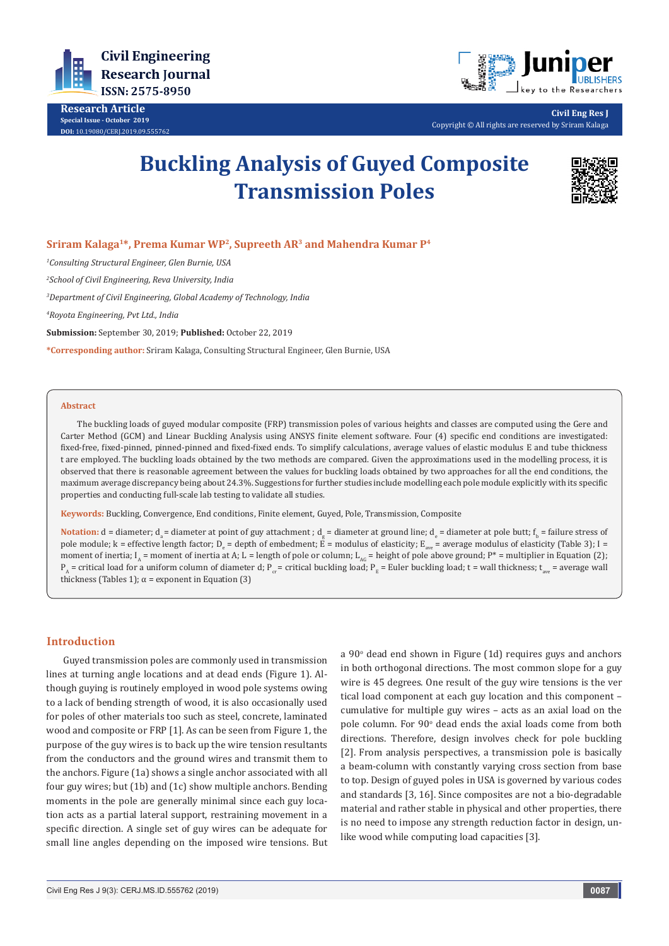

**Research Article Special Issue - October 2019 DOI:** [10.19080/CERJ.2019.09.555762](http://dx.doi.org/10.19080/CERJ.2019.09.555762)



**Civil Eng Res J** Copyright © All rights are reserved by Sriram Kalaga

# **Buckling Analysis of Guyed Composite Transmission Poles**



# **Sriram Kalaga1\*, Prema Kumar WP2, Supreeth AR3 and Mahendra Kumar P4**

*1 Consulting Structural Engineer, Glen Burnie, USA*

*2 School of Civil Engineering, Reva University, India*

*3 Department of Civil Engineering, Global Academy of Technology, India*

*4 Royota Engineering, Pvt Ltd., India*

**Submission:** September 30, 2019; **Published:** October 22, 2019

**\*Corresponding author:** Sriram Kalaga, Consulting Structural Engineer, Glen Burnie, USA

#### **Abstract**

The buckling loads of guyed modular composite (FRP) transmission poles of various heights and classes are computed using the Gere and Carter Method (GCM) and Linear Buckling Analysis using ANSYS finite element software. Four (4) specific end conditions are investigated: fixed-free, fixed-pinned, pinned-pinned and fixed-fixed ends. To simplify calculations, average values of elastic modulus E and tube thickness t are employed. The buckling loads obtained by the two methods are compared. Given the approximations used in the modelling process, it is observed that there is reasonable agreement between the values for buckling loads obtained by two approaches for all the end conditions, the maximum average discrepancy being about 24.3%. Suggestions for further studies include modelling each pole module explicitly with its specific properties and conducting full-scale lab testing to validate all studies.

**Keywords:** Buckling, Convergence, End conditions, Finite element, Guyed, Pole, Transmission, Composite

Notation: d = diameter; d<sub>a</sub> = diameter at point of guy attachment ; d<sub>g</sub> = diameter at ground line; d<sub>e</sub> = diameter at pole butt; f<sub>b</sub> = failure stress of pole module; k = effective length factor; D<sub>e</sub> = depth of embedment; E = modulus of elasticity; E<sub>ave</sub> = average modulus of elasticity (Table 3); I = moment of inertia;  $I_A$  = moment of inertia at A; L = length of pole or column; L<sub>AG</sub> = height of pole above ground; P<sup>\*</sup> = multiplier in Equation (2);  $P_A$  = critical load for a uniform column of diameter d;  $P_{C}$  = critical buckling load;  $P_{E}$  = Euler buckling load; t = wall thickness;  $t_{mg}$  = average wall thickness (Tables 1);  $\alpha$  = exponent in Equation (3)

# **Introduction**

Guyed transmission poles are commonly used in transmission lines at turning angle locations and at dead ends (Figure 1). Although guying is routinely employed in wood pole systems owing to a lack of bending strength of wood, it is also occasionally used for poles of other materials too such as steel, concrete, laminated wood and composite or FRP [1]. As can be seen from Figure 1, the purpose of the guy wires is to back up the wire tension resultants from the conductors and the ground wires and transmit them to the anchors. Figure (1a) shows a single anchor associated with all four guy wires; but (1b) and (1c) show multiple anchors. Bending moments in the pole are generally minimal since each guy location acts as a partial lateral support, restraining movement in a specific direction. A single set of guy wires can be adequate for small line angles depending on the imposed wire tensions. But a 90° dead end shown in Figure (1d) requires guys and anchors in both orthogonal directions. The most common slope for a guy wire is 45 degrees. One result of the guy wire tensions is the ver tical load component at each guy location and this component – cumulative for multiple guy wires – acts as an axial load on the pole column. For 90° dead ends the axial loads come from both directions. Therefore, design involves check for pole buckling [2]. From analysis perspectives, a transmission pole is basically a beam-column with constantly varying cross section from base to top. Design of guyed poles in USA is governed by various codes and standards [3, 16]. Since composites are not a bio-degradable material and rather stable in physical and other properties, there is no need to impose any strength reduction factor in design, unlike wood while computing load capacities [3].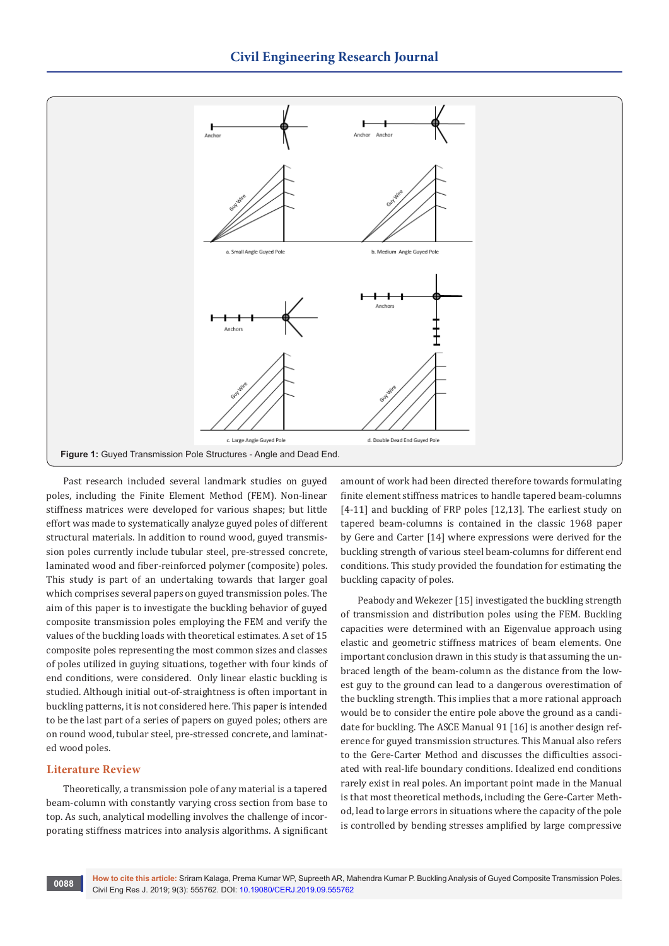

Past research included several landmark studies on guyed poles, including the Finite Element Method (FEM). Non-linear stiffness matrices were developed for various shapes; but little effort was made to systematically analyze guyed poles of different structural materials. In addition to round wood, guyed transmission poles currently include tubular steel, pre-stressed concrete, laminated wood and fiber-reinforced polymer (composite) poles. This study is part of an undertaking towards that larger goal which comprises several papers on guyed transmission poles. The aim of this paper is to investigate the buckling behavior of guyed composite transmission poles employing the FEM and verify the values of the buckling loads with theoretical estimates. A set of 15 composite poles representing the most common sizes and classes of poles utilized in guying situations, together with four kinds of end conditions, were considered. Only linear elastic buckling is studied. Although initial out-of-straightness is often important in buckling patterns, it is not considered here. This paper is intended to be the last part of a series of papers on guyed poles; others are on round wood, tubular steel, pre-stressed concrete, and laminated wood poles.

# **Literature Review**

Theoretically, a transmission pole of any material is a tapered beam-column with constantly varying cross section from base to top. As such, analytical modelling involves the challenge of incorporating stiffness matrices into analysis algorithms. A significant amount of work had been directed therefore towards formulating finite element stiffness matrices to handle tapered beam-columns [4-11] and buckling of FRP poles [12,13]. The earliest study on tapered beam-columns is contained in the classic 1968 paper by Gere and Carter [14] where expressions were derived for the buckling strength of various steel beam-columns for different end conditions. This study provided the foundation for estimating the buckling capacity of poles.

Peabody and Wekezer [15] investigated the buckling strength of transmission and distribution poles using the FEM. Buckling capacities were determined with an Eigenvalue approach using elastic and geometric stiffness matrices of beam elements. One important conclusion drawn in this study is that assuming the unbraced length of the beam-column as the distance from the lowest guy to the ground can lead to a dangerous overestimation of the buckling strength. This implies that a more rational approach would be to consider the entire pole above the ground as a candidate for buckling. The ASCE Manual 91 [16] is another design reference for guyed transmission structures. This Manual also refers to the Gere-Carter Method and discusses the difficulties associated with real-life boundary conditions. Idealized end conditions rarely exist in real poles. An important point made in the Manual is that most theoretical methods, including the Gere-Carter Method, lead to large errors in situations where the capacity of the pole is controlled by bending stresses amplified by large compressive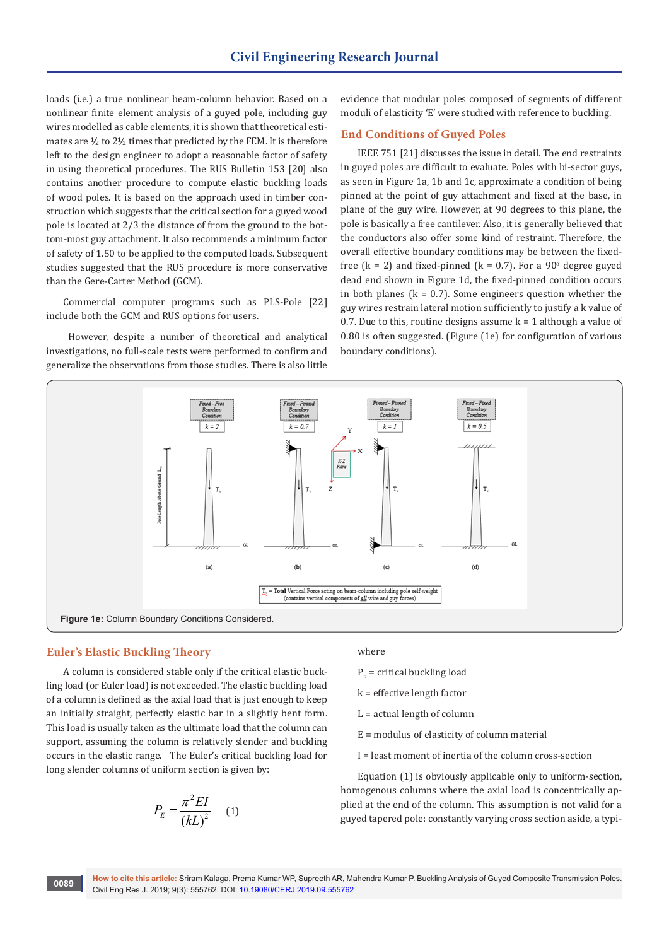loads (i.e.) a true nonlinear beam-column behavior. Based on a nonlinear finite element analysis of a guyed pole, including guy wires modelled as cable elements, it is shown that theoretical estimates are ½ to 2½ times that predicted by the FEM. It is therefore left to the design engineer to adopt a reasonable factor of safety in using theoretical procedures. The RUS Bulletin 153 [20] also contains another procedure to compute elastic buckling loads of wood poles. It is based on the approach used in timber construction which suggests that the critical section for a guyed wood pole is located at 2/3 the distance of from the ground to the bottom-most guy attachment. It also recommends a minimum factor of safety of 1.50 to be applied to the computed loads. Subsequent studies suggested that the RUS procedure is more conservative than the Gere-Carter Method (GCM).

Commercial computer programs such as PLS-Pole [22] include both the GCM and RUS options for users.

However, despite a number of theoretical and analytical investigations, no full-scale tests were performed to confirm and generalize the observations from those studies. There is also little

evidence that modular poles composed of segments of different moduli of elasticity 'E' were studied with reference to buckling.

# **End Conditions of Guyed Poles**

IEEE 751 [21] discusses the issue in detail. The end restraints in guyed poles are difficult to evaluate. Poles with bi-sector guys, as seen in Figure 1a, 1b and 1c, approximate a condition of being pinned at the point of guy attachment and fixed at the base, in plane of the guy wire. However, at 90 degrees to this plane, the pole is basically a free cantilever. Also, it is generally believed that the conductors also offer some kind of restraint. Therefore, the overall effective boundary conditions may be between the fixedfree  $(k = 2)$  and fixed-pinned  $(k = 0.7)$ . For a 90 $^{\circ}$  degree guyed dead end shown in Figure 1d, the fixed-pinned condition occurs in both planes ( $k = 0.7$ ). Some engineers question whether the guy wires restrain lateral motion sufficiently to justify a k value of 0.7. Due to this, routine designs assume  $k = 1$  although a value of 0.80 is often suggested. (Figure (1e) for configuration of various boundary conditions).



# **Euler's Elastic Buckling Theory**

A column is considered stable only if the critical elastic buckling load (or Euler load) is not exceeded. The elastic buckling load of a column is defined as the axial load that is just enough to keep an initially straight, perfectly elastic bar in a slightly bent form. This load is usually taken as the ultimate load that the column can support, assuming the column is relatively slender and buckling occurs in the elastic range. The Euler's critical buckling load for long slender columns of uniform section is given by:

$$
P_E = \frac{\pi^2 EI}{(kL)^2} \qquad (1)
$$

#### where

- $P<sub>n</sub>$  = critical buckling load
- k = effective length factor
- $L = actual length of column$
- E = modulus of elasticity of column material
- I = least moment of inertia of the column cross-section

Equation (1) is obviously applicable only to uniform-section, homogenous columns where the axial load is concentrically applied at the end of the column. This assumption is not valid for a guyed tapered pole: constantly varying cross section aside, a typi-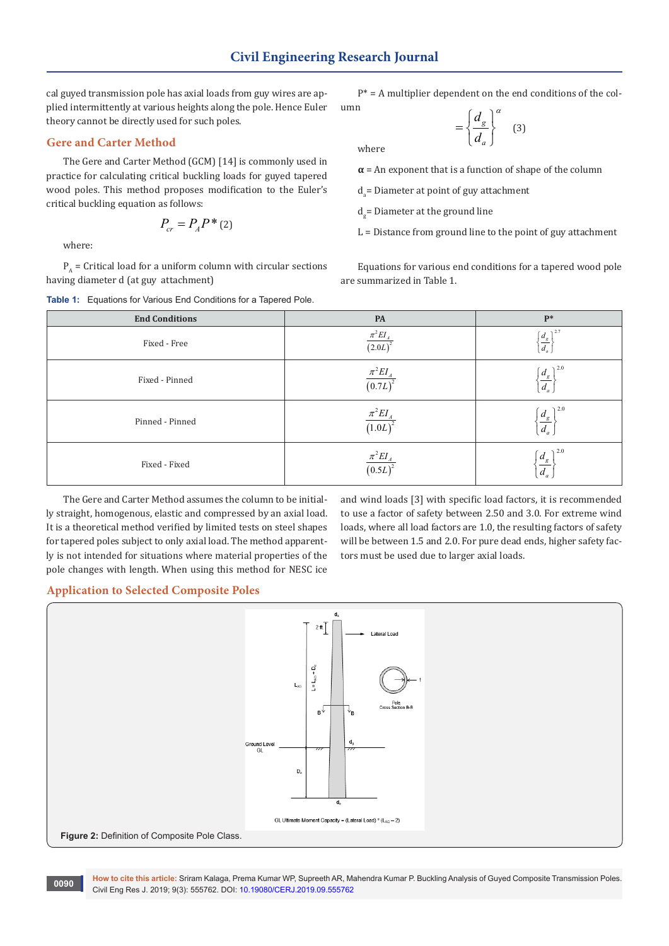where

cal guyed transmission pole has axial loads from guy wires are applied intermittently at various heights along the pole. Hence Euler theory cannot be directly used for such poles.

# **Gere and Carter Method**

The Gere and Carter Method (GCM) [14] is commonly used in practice for calculating critical buckling loads for guyed tapered wood poles. This method proposes modification to the Euler's critical buckling equation as follows:

$$
P_{cr} = P_A P^*(2)
$$

where:

 $P_A$  = Critical load for a uniform column with circular sections having diameter d (at guy attachment)



 $P^*$  = A multiplier dependent on the end conditions of the column

$$
= \left\{ \frac{d_g}{d_a} \right\}^a \quad (3)
$$

 $\alpha$  = An exponent that is a function of shape of the column

 $d_a$ = Diameter at point of guy attachment

d<sub>g</sub>= Diameter at the ground line

 $L =$  Distance from ground line to the point of guy attachment

Equations for various end conditions for a tapered wood pole are summarized in Table 1.

| <b>End Conditions</b> | PA                                  | $\mathbf{P}^*$                                          |
|-----------------------|-------------------------------------|---------------------------------------------------------|
| Fixed - Free          | $\pi^2 EI$<br>$\overline{(2.0L)}^2$ | $\big) 2.7$<br>$\frac{d_{s}}{d_{a}}$                    |
| Fixed - Pinned        | $\frac{\pi^2 EI_A}{(0.7L)^2}$       | $\lambda$ 2.0<br>$\frac{d_g}{d_g}$<br>$d_a$             |
| Pinned - Pinned       | $\pi^2 EI_A$<br>(1.0L)              | $\lambda$ 2.0<br>$\frac{d_{s}}{s}$<br>$d_a$             |
| Fixed - Fixed         | $\pi^2 EI$<br>(0.5L)                | $\lambda$ 2.0<br>$\frac{d_{g}}{g}$<br>$\big  d_a \big $ |

The Gere and Carter Method assumes the column to be initially straight, homogenous, elastic and compressed by an axial load. It is a theoretical method verified by limited tests on steel shapes for tapered poles subject to only axial load. The method apparently is not intended for situations where material properties of the pole changes with length. When using this method for NESC ice

and wind loads [3] with specific load factors, it is recommended to use a factor of safety between 2.50 and 3.0. For extreme wind loads, where all load factors are 1.0, the resulting factors of safety will be between 1.5 and 2.0. For pure dead ends, higher safety factors must be used due to larger axial loads.

# **Application to Selected Composite Poles**



**How to cite this article:** Sriram Kalaga, Prema Kumar WP, Supreeth AR, Mahendra Kumar P. Buckling Analysis of Guyed Composite Transmission Poles. Civil Eng Res J. 2019; 9(3): 555762. DOI: [10.19080/CERJ.2019.09.555762](http://dx.doi.org/10.19080/CERJ.2019.09.555762) **<sup>0090</sup>**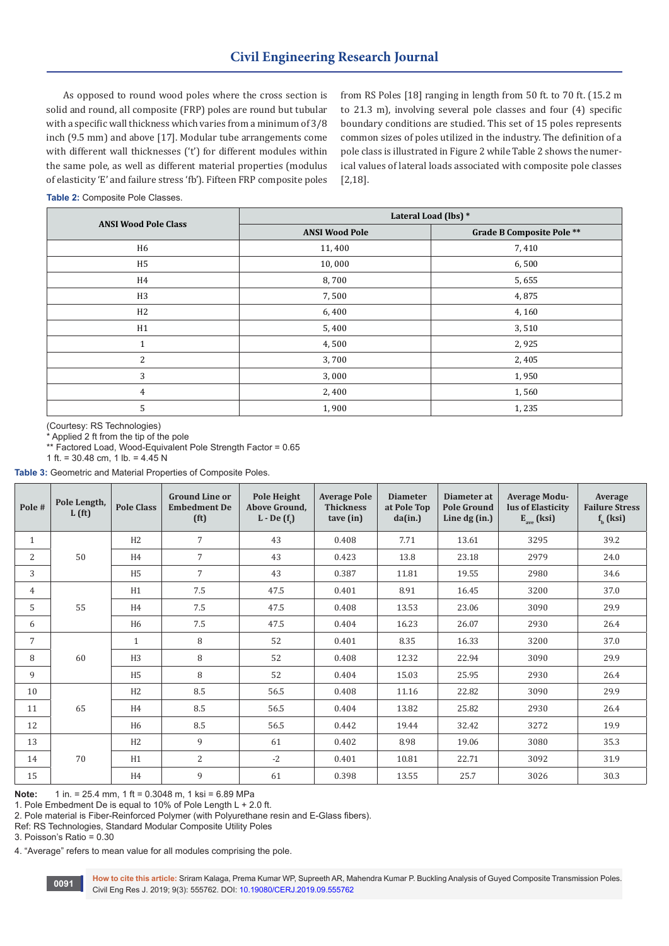As opposed to round wood poles where the cross section is solid and round, all composite (FRP) poles are round but tubular with a specific wall thickness which varies from a minimum of 3/8 inch (9.5 mm) and above [17]. Modular tube arrangements come with different wall thicknesses ('t') for different modules within the same pole, as well as different material properties (modulus of elasticity 'E' and failure stress 'fb'). Fifteen FRP composite poles

from RS Poles [18] ranging in length from 50 ft. to 70 ft. (15.2 m to 21.3 m), involving several pole classes and four (4) specific boundary conditions are studied. This set of 15 poles represents common sizes of poles utilized in the industry. The definition of a pole class is illustrated in Figure 2 while Table 2 shows the numerical values of lateral loads associated with composite pole classes [2,18].

**Table 2:** Composite Pole Classes.

| <b>ANSI Wood Pole Class</b> | Lateral Load (lbs) *  |                                  |  |  |  |
|-----------------------------|-----------------------|----------------------------------|--|--|--|
|                             | <b>ANSI Wood Pole</b> | <b>Grade B Composite Pole **</b> |  |  |  |
| H <sub>6</sub>              | 11,400                | 7,410                            |  |  |  |
| H <sub>5</sub>              | 10,000                | 6,500                            |  |  |  |
| H4                          | 8,700                 | 5,655                            |  |  |  |
| H <sub>3</sub>              | 7,500                 | 4,875                            |  |  |  |
| H2                          | 6,400                 | 4,160                            |  |  |  |
| H1                          | 5,400                 | 3,510                            |  |  |  |
| $\mathbf{1}$                | 4,500                 | 2,925                            |  |  |  |
| $\overline{2}$              | 3,700                 | 2,405                            |  |  |  |
| 3                           | 3,000                 | 1,950                            |  |  |  |
| $\overline{4}$              | 2,400                 | 1,560                            |  |  |  |
| 5                           | 1,900                 | 1,235                            |  |  |  |

(Courtesy: RS Technologies)

\* Applied 2 ft from the tip of the pole

\*\* Factored Load, Wood-Equivalent Pole Strength Factor = 0.65

1 ft. = 30.48 cm, 1 lb. = 4.45 N

**Table 3:** Geometric and Material Properties of Composite Poles.

| Pole#          | Pole Length,<br>L(f <sub>t</sub> ) | <b>Pole Class</b> | <b>Ground Line or</b><br><b>Embedment De</b><br>$(ft)$ | Pole Height<br>Above Ground,<br>$L$ - De $(fr)$ | <b>Average Pole</b><br><b>Thickness</b><br>tave (in) | <b>Diameter</b><br>at Pole Top<br>da(in.) | Diameter at<br><b>Pole Ground</b><br>Line $dg(in.)$ | <b>Average Modu-</b><br>lus of Elasticity<br>$E_{ave}$ (ksi) | Average<br><b>Failure Stress</b><br>$fh$ (ksi) |
|----------------|------------------------------------|-------------------|--------------------------------------------------------|-------------------------------------------------|------------------------------------------------------|-------------------------------------------|-----------------------------------------------------|--------------------------------------------------------------|------------------------------------------------|
| $\mathbf{1}$   |                                    | H2                | $\overline{7}$                                         | 43                                              | 0.408                                                | 7.71                                      | 13.61                                               | 3295                                                         | 39.2                                           |
| $\overline{2}$ | 50                                 | H4                | $\overline{7}$                                         | 43                                              | 0.423                                                | 13.8                                      | 23.18                                               | 2979                                                         | 24.0                                           |
| 3              |                                    | H <sub>5</sub>    | $\overline{7}$                                         | 43                                              | 0.387                                                | 11.81                                     | 19.55                                               | 2980                                                         | 34.6                                           |
| 4              |                                    | H1                | 7.5                                                    | 47.5                                            | 0.401                                                | 8.91                                      | 16.45                                               | 3200                                                         | 37.0                                           |
| 5              | 55                                 | H <sub>4</sub>    | 7.5                                                    | 47.5                                            | 0.408                                                | 13.53                                     | 23.06                                               | 3090                                                         | 29.9                                           |
| 6              |                                    | H <sub>6</sub>    | 7.5                                                    | 47.5                                            | 0.404                                                | 16.23                                     | 26.07                                               | 2930                                                         | 26.4                                           |
| $\overline{7}$ |                                    | 1                 | 8                                                      | 52                                              | 0.401                                                | 8.35                                      | 16.33                                               | 3200                                                         | 37.0                                           |
| 8              | 60                                 | H <sub>3</sub>    | 8                                                      | 52                                              | 0.408                                                | 12.32                                     | 22.94                                               | 3090                                                         | 29.9                                           |
| 9              |                                    | H <sub>5</sub>    | 8                                                      | 52                                              | 0.404                                                | 15.03                                     | 25.95                                               | 2930                                                         | 26.4                                           |
| 10             |                                    | H2                | 8.5                                                    | 56.5                                            | 0.408                                                | 11.16                                     | 22.82                                               | 3090                                                         | 29.9                                           |
| 11             | 65                                 | H <sub>4</sub>    | 8.5                                                    | 56.5                                            | 0.404                                                | 13.82                                     | 25.82                                               | 2930                                                         | 26.4                                           |
| 12             |                                    | H <sub>6</sub>    | 8.5                                                    | 56.5                                            | 0.442                                                | 19.44                                     | 32.42                                               | 3272                                                         | 19.9                                           |
| 13             |                                    | H2                | 9                                                      | 61                                              | 0.402                                                | 8.98                                      | 19.06                                               | 3080                                                         | 35.3                                           |
| 14             | 70                                 | H1                | $\overline{2}$                                         | $-2$                                            | 0.401                                                | 10.81                                     | 22.71                                               | 3092                                                         | 31.9                                           |
| 15             |                                    | H <sub>4</sub>    | 9                                                      | 61                                              | 0.398                                                | 13.55                                     | 25.7                                                | 3026                                                         | 30.3                                           |

**Note:** 1 in. = 25.4 mm, 1 ft = 0.3048 m, 1 ksi = 6.89 MPa

1. Pole Embedment De is equal to 10% of Pole Length L + 2.0 ft.

2. Pole material is Fiber-Reinforced Polymer (with Polyurethane resin and E-Glass fibers).

Ref: RS Technologies, Standard Modular Composite Utility Poles

3. Poisson's Ratio = 0.30

4. "Average" refers to mean value for all modules comprising the pole.

**How to cite this article:** Sriram Kalaga, Prema Kumar WP, Supreeth AR, Mahendra Kumar P. Buckling Analysis of Guyed Composite Transmission Poles. Civil Eng Res J. 2019; 9(3): 555762. DOI: [10.19080/CERJ.2019.09.555762](http://dx.doi.org/10.19080/CERJ.2019.09.555762) **<sup>0091</sup>**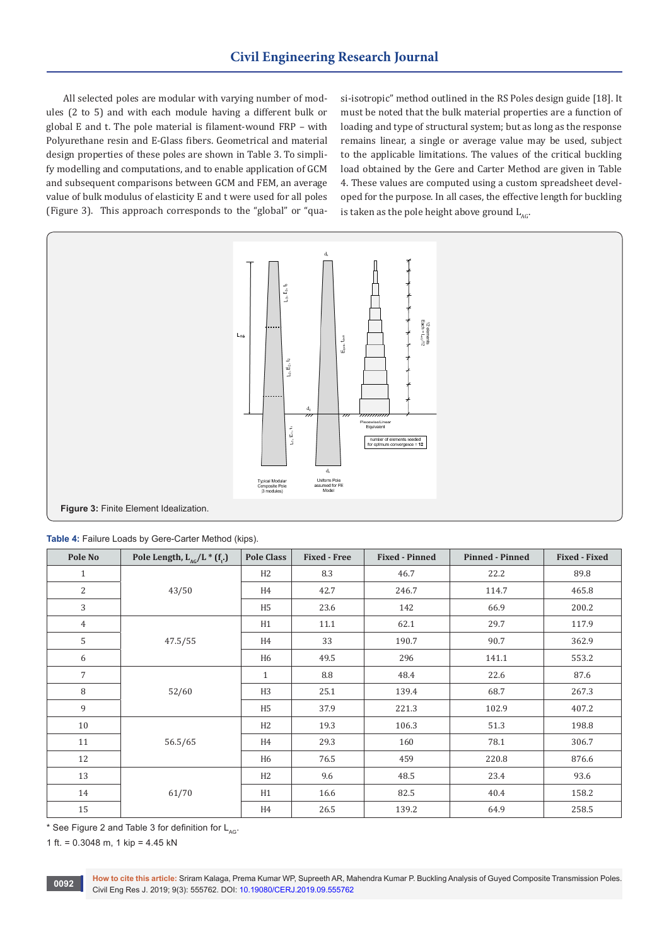All selected poles are modular with varying number of modules (2 to 5) and with each module having a different bulk or global E and t. The pole material is filament-wound FRP – with Polyurethane resin and E-Glass fibers. Geometrical and material design properties of these poles are shown in Table 3. To simplify modelling and computations, and to enable application of GCM and subsequent comparisons between GCM and FEM, an average value of bulk modulus of elasticity E and t were used for all poles (Figure 3). This approach corresponds to the "global" or "quasi-isotropic" method outlined in the RS Poles design guide [18]. It must be noted that the bulk material properties are a function of loading and type of structural system; but as long as the response remains linear, a single or average value may be used, subject to the applicable limitations. The values of the critical buckling load obtained by the Gere and Carter Method are given in Table 4. These values are computed using a custom spreadsheet developed for the purpose. In all cases, the effective length for buckling is taken as the pole height above ground  $L_{AC}$ .



|  |  | Table 4: Failure Loads by Gere-Carter Method (kips). |  |
|--|--|------------------------------------------------------|--|
|  |  |                                                      |  |

| Pole No        | Pole Length, $L_{AG}/L^{*}(f_t)$ | <b>Pole Class</b> | <b>Fixed - Free</b> | <b>Fixed - Pinned</b> | <b>Pinned - Pinned</b> | <b>Fixed - Fixed</b> |
|----------------|----------------------------------|-------------------|---------------------|-----------------------|------------------------|----------------------|
| 1              |                                  | H <sub>2</sub>    | 8.3                 | 46.7                  | 22.2                   | 89.8                 |
| $\overline{2}$ | 43/50                            | H4                | 42.7                | 246.7                 | 114.7                  | 465.8                |
| 3              |                                  | H <sub>5</sub>    | 23.6                | 142                   | 66.9                   | 200.2                |
| $\overline{4}$ |                                  | H1                | 11.1                | 62.1                  | 29.7                   | 117.9                |
| 5              | 47.5/55                          | H4                | 33                  | 190.7                 | 90.7                   | 362.9                |
| 6              |                                  | H6                | 49.5                | 296                   | 141.1                  | 553.2                |
| $\overline{7}$ | 52/60                            | $\mathbf{1}$      | 8.8                 | 48.4                  | 22.6                   | 87.6                 |
| 8              |                                  | H <sub>3</sub>    | 25.1                | 139.4                 | 68.7                   | 267.3                |
| 9              |                                  | H <sub>5</sub>    | 37.9                | 221.3                 | 102.9                  | 407.2                |
| 10             |                                  | H <sub>2</sub>    | 19.3                | 106.3                 | 51.3                   | 198.8                |
| 11             | 56.5/65                          | H4                | 29.3                | 160                   | 78.1                   | 306.7                |
| 12             |                                  | H <sub>6</sub>    | 76.5                | 459                   | 220.8                  | 876.6                |
| 13             |                                  | H <sub>2</sub>    | 9.6                 | 48.5                  | 23.4                   | 93.6                 |
| 14             | 61/70                            | H1                | 16.6                | 82.5                  | 40.4                   | 158.2                |
| 15             |                                  | H <sub>4</sub>    | 26.5                | 139.2                 | 64.9                   | 258.5                |

\* See Figure 2 and Table 3 for definition for  $L_{AC}$ .

1 ft. =  $0.3048$  m, 1 kip =  $4.45$  kN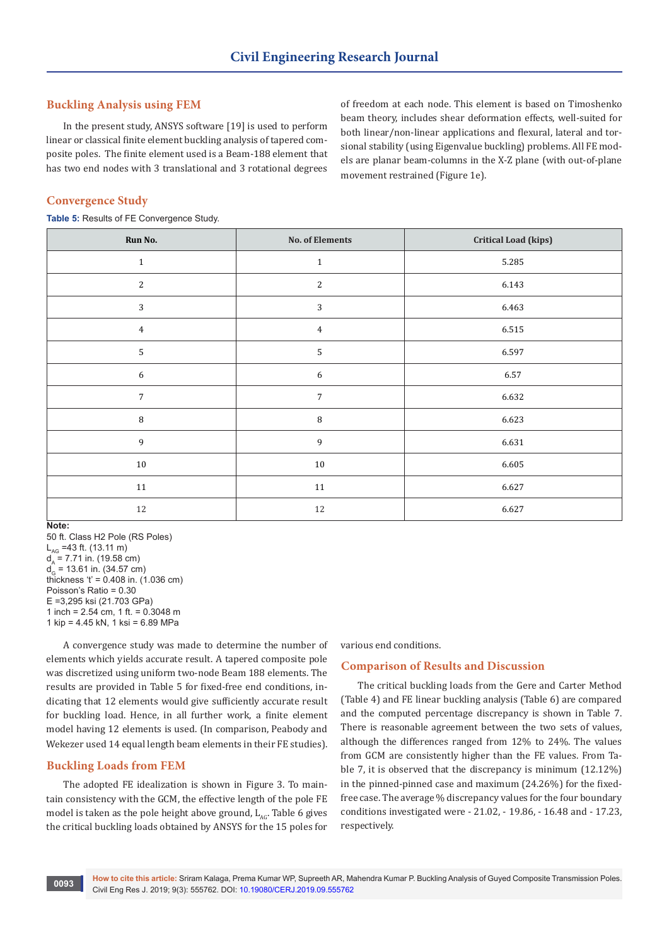# **Buckling Analysis using FEM**

In the present study, ANSYS software [19] is used to perform linear or classical finite element buckling analysis of tapered composite poles. The finite element used is a Beam-188 element that has two end nodes with 3 translational and 3 rotational degrees

of freedom at each node. This element is based on Timoshenko beam theory, includes shear deformation effects, well-suited for both linear/non-linear applications and flexural, lateral and torsional stability (using Eigenvalue buckling) problems. All FE models are planar beam-columns in the X-Z plane (with out-of-plane movement restrained (Figure 1e).

# **Convergence Study**

**Table 5:** Results of FE Convergence Study.

| Run No.          | <b>No. of Elements</b> | <b>Critical Load (kips)</b> |
|------------------|------------------------|-----------------------------|
| $\mathbf{1}$     | $\mathbf{1}$           | 5.285                       |
| $\sqrt{2}$       | $\sqrt{2}$             | 6.143                       |
| $\mathbf{3}$     | $\sqrt{3}$             | 6.463                       |
| $\overline{4}$   | $\overline{4}$         | 6.515                       |
| $\mathbf{5}$     | $\mathsf S$            | 6.597                       |
| $\boldsymbol{6}$ | $\boldsymbol{6}$       | 6.57                        |
| $\overline{7}$   | $\overline{7}$         | 6.632                       |
| $\, 8$           | $\, 8$                 | 6.623                       |
| 9                | $\overline{9}$         | 6.631                       |
| $10\,$           | $10\,$                 | 6.605                       |
| $11\,$           | $11\,$                 | 6.627                       |
| $12\,$           | 12                     | 6.627                       |

#### **Note:**

50 ft. Class H2 Pole (RS Poles)  $L_{AG}$  =43 ft. (13.11 m)  $d_a = 7.71$  in. (19.58 cm)  $d_G$  = 13.61 in. (34.57 cm) thickness 't' = 0.408 in. (1.036 cm) Poisson's Ratio = 0.30 E =3,295 ksi (21.703 GPa) 1 inch = 2.54 cm, 1 ft. = 0.3048 m 1 kip = 4.45 kN, 1 ksi = 6.89 MPa

A convergence study was made to determine the number of elements which yields accurate result. A tapered composite pole was discretized using uniform two-node Beam 188 elements. The results are provided in Table 5 for fixed-free end conditions, indicating that 12 elements would give sufficiently accurate result for buckling load. Hence, in all further work, a finite element model having 12 elements is used. (In comparison, Peabody and Wekezer used 14 equal length beam elements in their FE studies).

# **Buckling Loads from FEM**

The adopted FE idealization is shown in Figure 3. To maintain consistency with the GCM, the effective length of the pole FE model is taken as the pole height above ground,  $L_{AC}$ . Table 6 gives the critical buckling loads obtained by ANSYS for the 15 poles for

various end conditions.

### **Comparison of Results and Discussion**

The critical buckling loads from the Gere and Carter Method (Table 4) and FE linear buckling analysis (Table 6) are compared and the computed percentage discrepancy is shown in Table 7. There is reasonable agreement between the two sets of values, although the differences ranged from 12% to 24%. The values from GCM are consistently higher than the FE values. From Table 7, it is observed that the discrepancy is minimum (12.12%) in the pinned-pinned case and maximum (24.26%) for the fixedfree case. The average % discrepancy values for the four boundary conditions investigated were - 21.02, - 19.86, - 16.48 and - 17.23, respectively.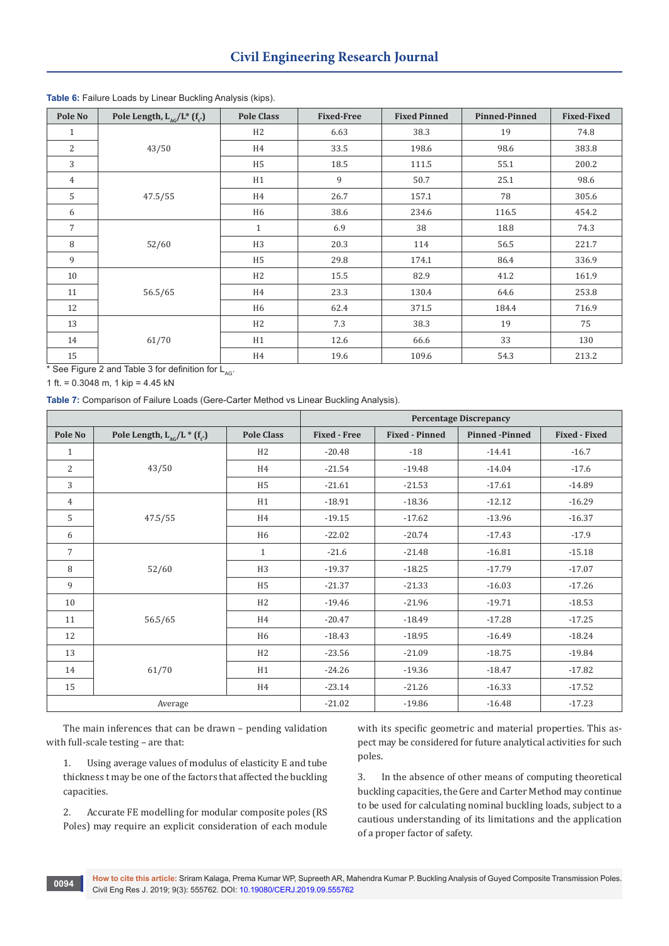| Pole No        | Pole Length, $L_{AC}/L^*$ (f <sub>t</sub> .) | <b>Pole Class</b> | <b>Fixed-Free</b> | <b>Fixed Pinned</b> | <b>Pinned-Pinned</b> | <b>Fixed-Fixed</b> |
|----------------|----------------------------------------------|-------------------|-------------------|---------------------|----------------------|--------------------|
| $\mathbf{1}$   |                                              | H2                | 6.63              | 38.3                | 19                   | 74.8               |
| $\overline{2}$ | 43/50                                        | H4                | 33.5              | 198.6               | 98.6                 | 383.8              |
| 3              |                                              | H <sub>5</sub>    | 18.5              | 111.5               | 55.1                 | 200.2              |
| $\overline{4}$ |                                              | H1                | 9                 | 50.7                | 25.1                 | 98.6               |
| 5              | 47.5/55                                      | H4                | 26.7              | 157.1               | 78                   | 305.6              |
| 6              |                                              | H <sub>6</sub>    | 38.6              | 234.6               | 116.5                | 454.2              |
| $\overline{7}$ | 52/60                                        | $\mathbf{1}$      | 6.9               | 38                  | 18.8                 | 74.3               |
| 8              |                                              | H <sub>3</sub>    | 20.3              | 114                 | 56.5                 | 221.7              |
| 9              |                                              | H <sub>5</sub>    | 29.8              | 174.1               | 86.4                 | 336.9              |
| 10             |                                              | H2                | 15.5              | 82.9                | 41.2                 | 161.9              |
| 11             | 56.5/65                                      | H4                | 23.3              | 130.4               | 64.6                 | 253.8              |
| 12             |                                              | H <sub>6</sub>    | 62.4              | 371.5               | 184.4                | 716.9              |
| 13             | 61/70                                        | H2                | 7.3               | 38.3                | 19                   | 75                 |
| 14             |                                              | H1                | 12.6              | 66.6                | 33                   | 130                |
| 15             |                                              | H4                | 19.6              | 109.6               | 54.3                 | 213.2              |

### **Table 6:** Failure Loads by Linear Buckling Analysis (kips).

\* See Figure 2 and Table 3 for definition for  $L_{AG}$ .

1 ft. = 0.3048 m, 1 kip = 4.45 kN

**Table 7:** Comparison of Failure Loads (Gere-Carter Method vs Linear Buckling Analysis).

|                |                                              |                   |                     |                       | <b>Percentage Discrepancy</b> |                      |
|----------------|----------------------------------------------|-------------------|---------------------|-----------------------|-------------------------------|----------------------|
| Pole No        | Pole Length, $L_{AC}/L$ * (f <sub>r</sub> .) | <b>Pole Class</b> | <b>Fixed - Free</b> | <b>Fixed - Pinned</b> | <b>Pinned</b> -Pinned         | <b>Fixed - Fixed</b> |
| $\mathbf{1}$   |                                              | H <sub>2</sub>    | $-20.48$            | $-18$                 | $-14.41$                      | $-16.7$              |
| 2              | 43/50                                        | H4                | $-21.54$            | $-19.48$              | $-14.04$                      | $-17.6$              |
| 3              |                                              | H <sub>5</sub>    | $-21.61$            | $-21.53$              | $-17.61$                      | $-14.89$             |
| $\overline{4}$ |                                              | H1                | $-18.91$            | $-18.36$              | $-12.12$                      | $-16.29$             |
| 5              | 47.5/55                                      | H4                | $-19.15$            | $-17.62$              | $-13.96$                      | $-16.37$             |
| 6              |                                              | H <sub>6</sub>    | $-22.02$            | $-20.74$              | $-17.43$                      | $-17.9$              |
| $\overline{7}$ |                                              | $\mathbf{1}$      | $-21.6$             | $-21.48$              | $-16.81$                      | $-15.18$             |
| 8              | 52/60                                        | H <sub>3</sub>    | $-19.37$            | $-18.25$              | $-17.79$                      | $-17.07$             |
| 9              |                                              | H <sub>5</sub>    | $-21.37$            | $-21.33$              | $-16.03$                      | $-17.26$             |
| 10             |                                              | H <sub>2</sub>    | $-19.46$            | $-21.96$              | $-19.71$                      | $-18.53$             |
| 11             | 56.5/65                                      | H4                | $-20.47$            | $-18.49$              | $-17.28$                      | $-17.25$             |
| 12             |                                              | H <sub>6</sub>    | $-18.43$            | $-18.95$              | $-16.49$                      | $-18.24$             |
| 13             |                                              | H <sub>2</sub>    | $-23.56$            | $-21.09$              | $-18.75$                      | $-19.84$             |
| 14             | 61/70                                        | H1                | $-24.26$            | $-19.36$              | $-18.47$                      | $-17.82$             |
| 15             |                                              | H4                | $-23.14$            | $-21.26$              | $-16.33$                      | $-17.52$             |
| Average        |                                              | $-21.02$          | $-19.86$            | $-16.48$              | $-17.23$                      |                      |

The main inferences that can be drawn – pending validation with full-scale testing – are that:

1. Using average values of modulus of elasticity E and tube thickness t may be one of the factors that affected the buckling capacities.

2. Accurate FE modelling for modular composite poles (RS Poles) may require an explicit consideration of each module with its specific geometric and material properties. This aspect may be considered for future analytical activities for such poles.

3. In the absence of other means of computing theoretical buckling capacities, the Gere and Carter Method may continue to be used for calculating nominal buckling loads, subject to a cautious understanding of its limitations and the application of a proper factor of safety.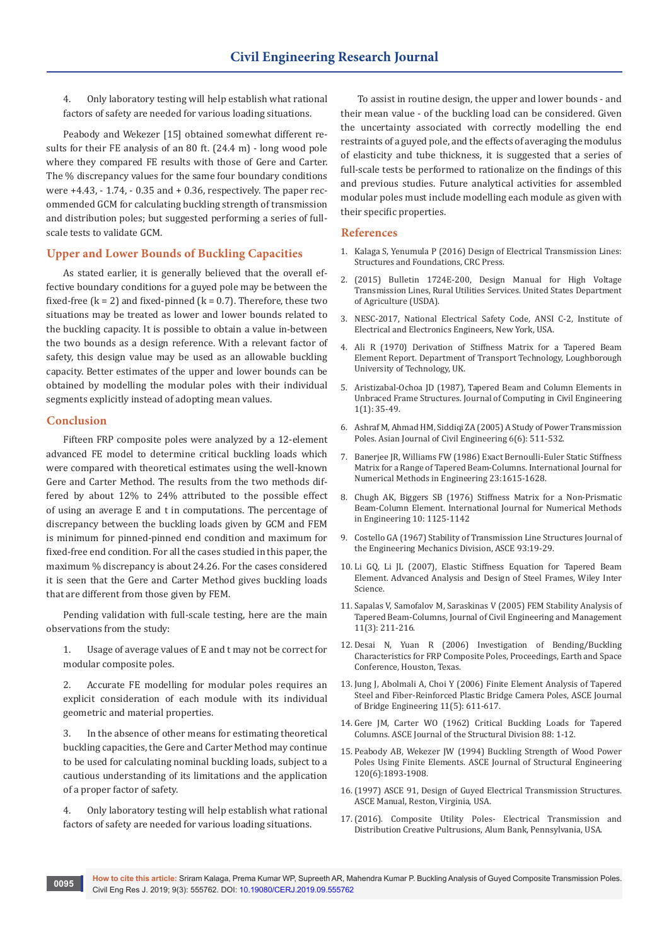4. Only laboratory testing will help establish what rational factors of safety are needed for various loading situations.

Peabody and Wekezer [15] obtained somewhat different results for their FE analysis of an 80 ft. (24.4 m) - long wood pole where they compared FE results with those of Gere and Carter. The % discrepancy values for the same four boundary conditions were +4.43, - 1.74, - 0.35 and + 0.36, respectively. The paper recommended GCM for calculating buckling strength of transmission and distribution poles; but suggested performing a series of fullscale tests to validate GCM.

# **Upper and Lower Bounds of Buckling Capacities**

As stated earlier, it is generally believed that the overall effective boundary conditions for a guyed pole may be between the fixed-free  $(k = 2)$  and fixed-pinned  $(k = 0.7)$ . Therefore, these two situations may be treated as lower and lower bounds related to the buckling capacity. It is possible to obtain a value in-between the two bounds as a design reference. With a relevant factor of safety, this design value may be used as an allowable buckling capacity. Better estimates of the upper and lower bounds can be obtained by modelling the modular poles with their individual segments explicitly instead of adopting mean values.

#### **Conclusion**

Fifteen FRP composite poles were analyzed by a 12-element advanced FE model to determine critical buckling loads which were compared with theoretical estimates using the well-known Gere and Carter Method. The results from the two methods differed by about 12% to 24% attributed to the possible effect of using an average E and t in computations. The percentage of discrepancy between the buckling loads given by GCM and FEM is minimum for pinned-pinned end condition and maximum for fixed-free end condition. For all the cases studied in this paper, the maximum % discrepancy is about 24.26. For the cases considered it is seen that the Gere and Carter Method gives buckling loads that are different from those given by FEM.

Pending validation with full-scale testing, here are the main observations from the study:

1. Usage of average values of E and t may not be correct for modular composite poles.

2. Accurate FE modelling for modular poles requires an explicit consideration of each module with its individual geometric and material properties.

3. In the absence of other means for estimating theoretical buckling capacities, the Gere and Carter Method may continue to be used for calculating nominal buckling loads, subject to a cautious understanding of its limitations and the application of a proper factor of safety.

4. Only laboratory testing will help establish what rational factors of safety are needed for various loading situations.

To assist in routine design, the upper and lower bounds - and their mean value - of the buckling load can be considered. Given the uncertainty associated with correctly modelling the end restraints of a guyed pole, and the effects of averaging the modulus of elasticity and tube thickness, it is suggested that a series of full-scale tests be performed to rationalize on the findings of this and previous studies. Future analytical activities for assembled modular poles must include modelling each module as given with their specific properties.

#### **References**

- 1. Kalaga S, Yenumula P (2016) Design of Electrical Transmission Lines: Structures and Foundations, CRC Press.
- 2. (2015) Bulletin 1724E-200, Design Manual for High Voltage Transmission Lines, Rural Utilities Services. United States Department of Agriculture (USDA).
- 3. NESC-2017, National Electrical Safety Code, ANSI C-2, Institute of Electrical and Electronics Engineers, New York, USA.
- 4. Ali R (1970) Derivation of Stiffness Matrix for a Tapered Beam Element Report. Department of Transport Technology, Loughborough University of Technology, UK.
- 5. Aristizabal-Ochoa JD (1987), Tapered Beam and Column Elements in Unbraced Frame Structures. Journal of Computing in Civil Engineering 1(1): 35-49.
- 6. Ashraf M, Ahmad HM, Siddiqi ZA (2005) A Study of Power Transmission Poles. Asian Journal of Civil Engineering 6(6): 511-532.
- 7. Banerjee JR, Williams FW (1986) Exact Bernoulli-Euler Static Stiffness Matrix for a Range of Tapered Beam-Columns. International Journal for Numerical Methods in Engineering 23:1615-1628.
- 8. Chugh AK, Biggers SB (1976) Stiffness Matrix for a Non-Prismatic Beam-Column Element. International Journal for Numerical Methods in Engineering 10: 1125-1142
- 9. Costello GA (1967) Stability of Transmission Line Structures Journal of the Engineering Mechanics Division, ASCE 93:19-29.
- 10. Li GQ, Li JL (2007), Elastic Stiffness Equation for Tapered Beam Element. Advanced Analysis and Design of Steel Frames, Wiley Inter Science.
- 11. Sapalas V, Samofalov M, Saraskinas V (2005) FEM Stability Analysis of Tapered Beam-Columns, Journal of Civil Engineering and Management 11(3): 211-216.
- 12. Desai N, Yuan R (2006) Investigation of Bending/Buckling Characteristics for FRP Composite Poles, Proceedings, Earth and Space Conference, Houston, Texas.
- 13. Jung J, Abolmali A, Choi Y (2006) Finite Element Analysis of Tapered Steel and Fiber-Reinforced Plastic Bridge Camera Poles, ASCE Journal of Bridge Engineering 11(5): 611-617.
- 14. Gere JM, Carter WO (1962) Critical Buckling Loads for Tapered Columns. ASCE Journal of the Structural Division 88: 1-12.
- 15. Peabody AB, Wekezer JW (1994) Buckling Strength of Wood Power Poles Using Finite Elements. ASCE Journal of Structural Engineering 120(6):1893-1908.
- 16.(1997) ASCE 91, Design of Guyed Electrical Transmission Structures. ASCE Manual, Reston, Virginia, USA.
- 17.(2016). Composite Utility Poles- Electrical Transmission and Distribution Creative Pultrusions, Alum Bank, Pennsylvania, USA.